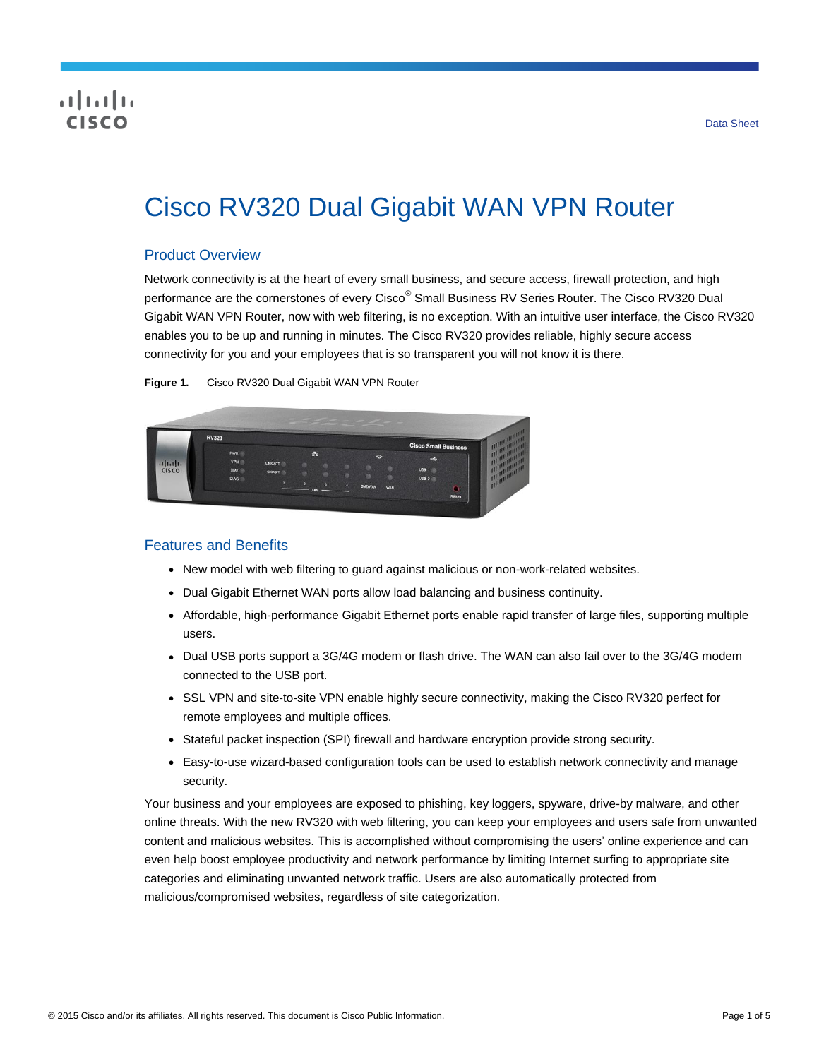# CISCO

# Cisco RV320 Dual Gigabit WAN VPN Router

### Product Overview

Network connectivity is at the heart of every small business, and secure access, firewall protection, and high performance are the cornerstones of every Cisco<sup>®</sup> Small Business RV Series Router. The Cisco RV320 Dual Gigabit WAN VPN Router, now with web filtering, is no exception. With an intuitive user interface, the Cisco RV320 enables you to be up and running in minutes. The Cisco RV320 provides reliable, highly secure access connectivity for you and your employees that is so transparent you will not know it is there.

**Figure 1.** Cisco RV320 Dual Gigabit WAN VPN Router



#### Features and Benefits

- New model with web filtering to guard against malicious or non-work-related websites.
- Dual Gigabit Ethernet WAN ports allow load balancing and business continuity.
- Affordable, high-performance Gigabit Ethernet ports enable rapid transfer of large files, supporting multiple users.
- Dual USB ports support a 3G/4G modem or flash drive. The WAN can also fail over to the 3G/4G modem connected to the USB port.
- SSL VPN and site-to-site VPN enable highly secure connectivity, making the Cisco RV320 perfect for remote employees and multiple offices.
- Stateful packet inspection (SPI) firewall and hardware encryption provide strong security.
- Easy-to-use wizard-based configuration tools can be used to establish network connectivity and manage security.

Your business and your employees are exposed to phishing, key loggers, spyware, drive-by malware, and other online threats. With the new RV320 with web filtering, you can keep your employees and users safe from unwanted content and malicious websites. This is accomplished without compromising the users' online experience and can even help boost employee productivity and network performance by limiting Internet surfing to appropriate site categories and eliminating unwanted network traffic. Users are also automatically protected from malicious/compromised websites, regardless of site categorization.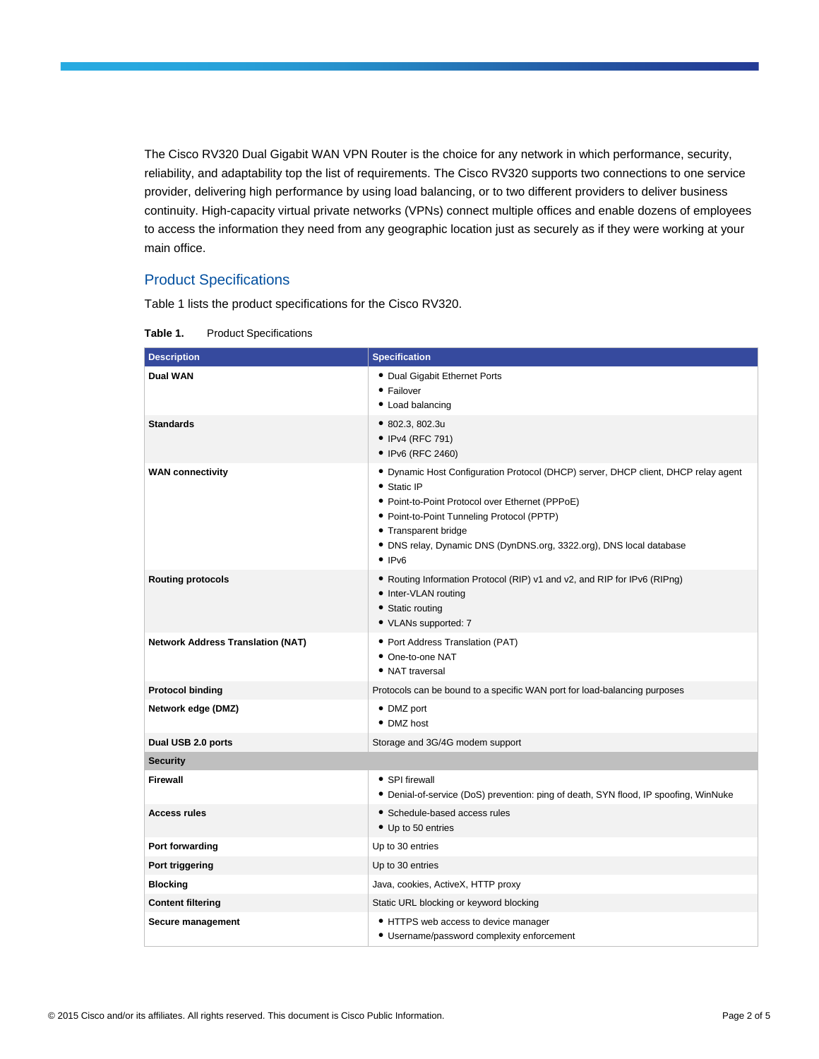The Cisco RV320 Dual Gigabit WAN VPN Router is the choice for any network in which performance, security, reliability, and adaptability top the list of requirements. The Cisco RV320 supports two connections to one service provider, delivering high performance by using load balancing, or to two different providers to deliver business continuity. High-capacity virtual private networks (VPNs) connect multiple offices and enable dozens of employees to access the information they need from any geographic location just as securely as if they were working at your main office.

## Product Specifications

Table 1 lists the product specifications for the Cisco RV320.

| <b>Description</b>                       | <b>Specification</b>                                                                                                                                                                                                                                                                                                            |
|------------------------------------------|---------------------------------------------------------------------------------------------------------------------------------------------------------------------------------------------------------------------------------------------------------------------------------------------------------------------------------|
| <b>Dual WAN</b>                          | • Dual Gigabit Ethernet Ports<br>• Failover<br>• Load balancing                                                                                                                                                                                                                                                                 |
| <b>Standards</b>                         | • 802.3, 802.3u<br>• IPv4 (RFC 791)<br>• IPv6 (RFC 2460)                                                                                                                                                                                                                                                                        |
| <b>WAN connectivity</b>                  | • Dynamic Host Configuration Protocol (DHCP) server, DHCP client, DHCP relay agent<br>• Static IP<br>• Point-to-Point Protocol over Ethernet (PPPoE)<br>• Point-to-Point Tunneling Protocol (PPTP)<br>• Transparent bridge<br>· DNS relay, Dynamic DNS (DynDNS.org, 3322.org), DNS local database<br>$\bullet$ IP <sub>V6</sub> |
| <b>Routing protocols</b>                 | . Routing Information Protocol (RIP) v1 and v2, and RIP for IPv6 (RIPng)<br>• Inter-VLAN routing<br>• Static routing<br>• VLANs supported: 7                                                                                                                                                                                    |
| <b>Network Address Translation (NAT)</b> | • Port Address Translation (PAT)<br>• One-to-one NAT<br>• NAT traversal                                                                                                                                                                                                                                                         |
| <b>Protocol binding</b>                  | Protocols can be bound to a specific WAN port for load-balancing purposes                                                                                                                                                                                                                                                       |
| Network edge (DMZ)                       | • DMZ port<br>• DMZ host                                                                                                                                                                                                                                                                                                        |
| Dual USB 2.0 ports                       | Storage and 3G/4G modem support                                                                                                                                                                                                                                                                                                 |
| <b>Security</b>                          |                                                                                                                                                                                                                                                                                                                                 |
| <b>Firewall</b>                          | • SPI firewall<br>• Denial-of-service (DoS) prevention: ping of death, SYN flood, IP spoofing, WinNuke                                                                                                                                                                                                                          |
| <b>Access rules</b>                      | • Schedule-based access rules<br>• Up to 50 entries                                                                                                                                                                                                                                                                             |
| Port forwarding                          | Up to 30 entries                                                                                                                                                                                                                                                                                                                |
| Port triggering                          | Up to 30 entries                                                                                                                                                                                                                                                                                                                |
| <b>Blocking</b>                          | Java, cookies, ActiveX, HTTP proxy                                                                                                                                                                                                                                                                                              |
| <b>Content filtering</b>                 | Static URL blocking or keyword blocking                                                                                                                                                                                                                                                                                         |
| Secure management                        | • HTTPS web access to device manager<br>• Username/password complexity enforcement                                                                                                                                                                                                                                              |

**Table 1.** Product Specifications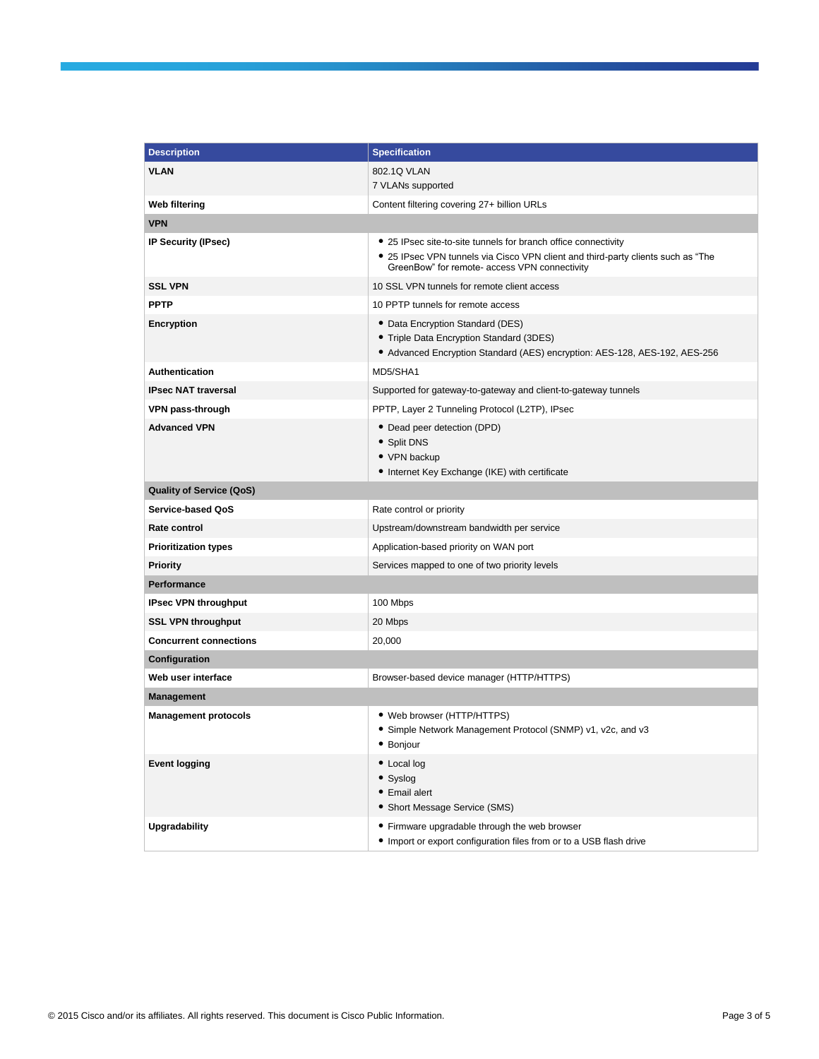| <b>Description</b>              | <b>Specification</b>                                                                                                                                       |
|---------------------------------|------------------------------------------------------------------------------------------------------------------------------------------------------------|
| <b>VLAN</b>                     | 802.1Q VLAN                                                                                                                                                |
|                                 | 7 VLANs supported                                                                                                                                          |
| <b>Web filtering</b>            | Content filtering covering 27+ billion URLs                                                                                                                |
| <b>VPN</b>                      |                                                                                                                                                            |
| IP Security (IPsec)             | • 25 IPsec site-to-site tunnels for branch office connectivity                                                                                             |
|                                 | • 25 IPsec VPN tunnels via Cisco VPN client and third-party clients such as "The<br>GreenBow" for remote- access VPN connectivity                          |
| <b>SSL VPN</b>                  | 10 SSL VPN tunnels for remote client access                                                                                                                |
| <b>PPTP</b>                     | 10 PPTP tunnels for remote access                                                                                                                          |
| Encryption                      | • Data Encryption Standard (DES)<br>• Triple Data Encryption Standard (3DES)<br>• Advanced Encryption Standard (AES) encryption: AES-128, AES-192, AES-256 |
| <b>Authentication</b>           | MD5/SHA1                                                                                                                                                   |
| <b>IPsec NAT traversal</b>      | Supported for gateway-to-gateway and client-to-gateway tunnels                                                                                             |
| VPN pass-through                | PPTP, Layer 2 Tunneling Protocol (L2TP), IPsec                                                                                                             |
| <b>Advanced VPN</b>             | • Dead peer detection (DPD)<br>• Split DNS<br>• VPN backup<br>• Internet Key Exchange (IKE) with certificate                                               |
| <b>Quality of Service (QoS)</b> |                                                                                                                                                            |
| Service-based QoS               | Rate control or priority                                                                                                                                   |
| Rate control                    | Upstream/downstream bandwidth per service                                                                                                                  |
| <b>Prioritization types</b>     | Application-based priority on WAN port                                                                                                                     |
| Priority                        | Services mapped to one of two priority levels                                                                                                              |
| Performance                     |                                                                                                                                                            |
| <b>IPsec VPN throughput</b>     | 100 Mbps                                                                                                                                                   |
| <b>SSL VPN throughput</b>       | 20 Mbps                                                                                                                                                    |
| <b>Concurrent connections</b>   | 20,000                                                                                                                                                     |
| Configuration                   |                                                                                                                                                            |
| Web user interface              | Browser-based device manager (HTTP/HTTPS)                                                                                                                  |
| <b>Management</b>               |                                                                                                                                                            |
| <b>Management protocols</b>     | • Web browser (HTTP/HTTPS)<br>• Simple Network Management Protocol (SNMP) v1, v2c, and v3<br>• Bonjour                                                     |
| <b>Event logging</b>            | • Local log<br>• Syslog<br>• Email alert<br>• Short Message Service (SMS)                                                                                  |
| <b>Upgradability</b>            | • Firmware upgradable through the web browser<br>• Import or export configuration files from or to a USB flash drive                                       |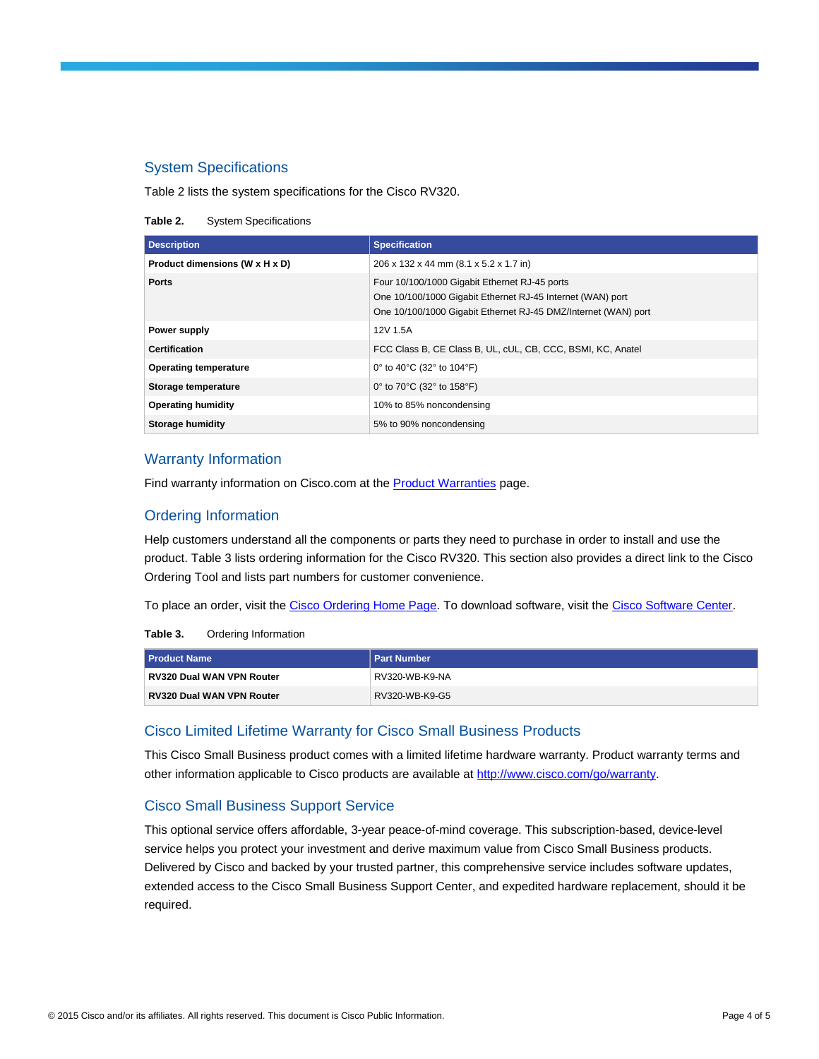#### System Specifications

Table 2 lists the system specifications for the Cisco RV320.

**Table 2.** System Specifications

| <b>Description</b>             | <b>Specification</b>                                                                                                                                                          |
|--------------------------------|-------------------------------------------------------------------------------------------------------------------------------------------------------------------------------|
| Product dimensions (W x H x D) | 206 x 132 x 44 mm (8.1 x 5.2 x 1.7 in)                                                                                                                                        |
| <b>Ports</b>                   | Four 10/100/1000 Gigabit Ethernet RJ-45 ports<br>One 10/100/1000 Gigabit Ethernet RJ-45 Internet (WAN) port<br>One 10/100/1000 Gigabit Ethernet RJ-45 DMZ/Internet (WAN) port |
| Power supply                   | 12V 1.5A                                                                                                                                                                      |
| <b>Certification</b>           | FCC Class B, CE Class B, UL, cUL, CB, CCC, BSMI, KC, Anatel                                                                                                                   |
| <b>Operating temperature</b>   | 0° to 40°C (32° to 104°F)                                                                                                                                                     |
| Storage temperature            | 0° to 70°C (32° to 158°F)                                                                                                                                                     |
| <b>Operating humidity</b>      | 10% to 85% noncondensing                                                                                                                                                      |
| Storage humidity               | 5% to 90% noncondensing                                                                                                                                                       |

#### Warranty Information

Find warranty information on Cisco.com at the **Product Warranties** page.

#### Ordering Information

Help customers understand all the components or parts they need to purchase in order to install and use the product. Table 3 lists ordering information for the Cisco RV320. This section also provides a direct link to the Cisco Ordering Tool and lists part numbers for customer convenience.

To place an order, visit th[e Cisco Ordering Home Page. T](http://www.cisco.com/en/US/ordering/index.shtml)o download software, visit th[e Cisco Software Center.](http://www.cisco.com/public/sw-center/index.shtml)

| Table 3. | Ordering Information |
|----------|----------------------|
|----------|----------------------|

| <b>Product Name</b>              | <b>Part Number</b> |
|----------------------------------|--------------------|
| <b>RV320 Dual WAN VPN Router</b> | RV320-WB-K9-NA     |
| <b>RV320 Dual WAN VPN Router</b> | RV320-WB-K9-G5     |

#### Cisco Limited Lifetime Warranty for Cisco Small Business Products

This Cisco Small Business product comes with a limited lifetime hardware warranty. Product warranty terms and other information applicable to Cisco products are available a[t http://www.cisco.com/go/warranty.](http://www.cisco.com/go/warranty)

#### Cisco Small Business Support Service

This optional service offers affordable, 3-year peace-of-mind coverage. This subscription-based, device-level service helps you protect your investment and derive maximum value from Cisco Small Business products. Delivered by Cisco and backed by your trusted partner, this comprehensive service includes software updates, extended access to the Cisco Small Business Support Center, and expedited hardware replacement, should it be required.